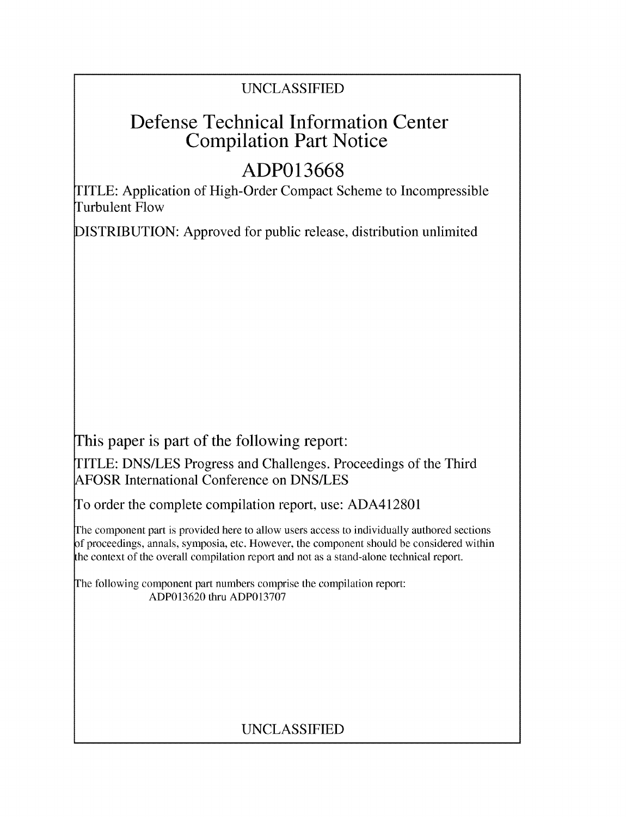# UNCLASSIFIED

# Defense Technical Information Center Compilation Part Notice

# **ADP013668**

TITLE: Application of High-Order Compact Scheme to Incompressible Turbulent Flow

DISTRIBUTION: Approved for public release, distribution unlimited

This paper is part of the following report:

TITLE: DNS/LES Progress and Challenges. Proceedings of the Third AFOSR International Conference on DNS/LES

To order the complete compilation report, use: ADA412801

The component part is provided here to allow users access to individually authored sections f proceedings, annals, symposia, etc. However, the component should be considered within the context of the overall compilation report and not as a stand-alone technical report.

The following component part numbers comprise the compilation report: ADP013620 thru ADP013707

# UNCLASSIFIED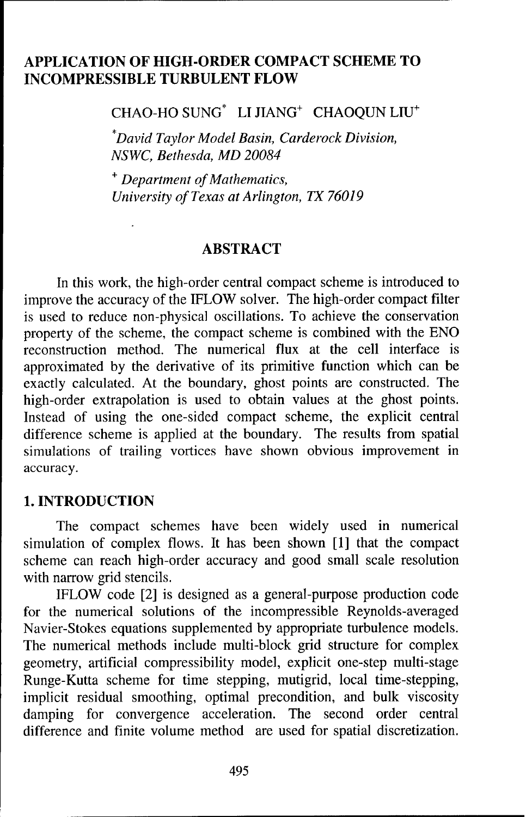## **APPLICATION** OF HIGH-ORDER **COMPACT SCHEME** TO **INCOMPRESSIBLE TURBULENT** FLOW

**CHAO-HO** SUNG\* LI JIANG+ CHAOQUN LIU+

*"David Taylor Model Basin, Carderock Division, NSWC, Bethesda, MD 20084*

+ *Department of Mathematics, University of Texas at Arlington, TX 76019*

#### ABSTRACT

In this work, the high-order central compact scheme is introduced to improve the accuracy of the IFLOW solver. The high-order compact filter is used to reduce non-physical oscillations. To achieve the conservation property of the scheme, the compact scheme is combined with the ENO reconstruction method. The numerical flux at the cell interface is approximated by the derivative of its primitive function which can be exactly calculated. At the boundary, ghost points are constructed. The high-order extrapolation is used to obtain values at the ghost points. Instead of using the one-sided compact scheme, the explicit central difference scheme is applied at the boundary. The results from spatial simulations of trailing vortices have shown obvious improvement in accuracy.

#### **1. INTRODUCTION**

The compact schemes have been widely used in numerical simulation of complex flows. It has been shown [1] that the compact scheme can reach high-order accuracy and good small scale resolution with narrow grid stencils.

IFLOW code [2] is designed as a general-purpose production code for the numerical solutions of the incompressible Reynolds-averaged Navier-Stokes equations supplemented by appropriate turbulence models. The numerical methods include multi-block grid structure for complex geometry, artificial compressibility model, explicit one-step multi-stage Runge-Kutta scheme for time stepping, mutigrid, local time-stepping, implicit residual smoothing, optimal precondition, and bulk viscosity damping for convergence acceleration. The second order central difference and finite volume method are used for spatial discretization.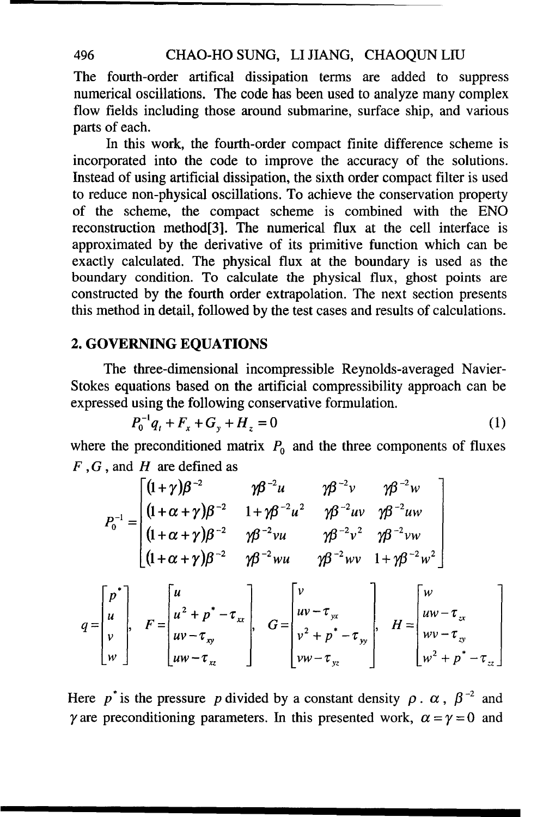## 496 CHAO-HO SUNG, LI JIANG, CHAOQUN LIU

The fourth-order artifical dissipation terms are added to suppress numerical oscillations. The code has been used to analyze many complex flow fields including those around submarine, surface ship, and various parts of each.

In this work, the fourth-order compact finite difference scheme is incorporated into the code to improve the accuracy of the solutions. Instead of using artificial dissipation, the sixth order compact filter is used to reduce non-physical oscillations. To achieve the conservation property of the scheme, the compact scheme is combined with the ENO reconstruction method[3]. The numerical flux at the cell interface is approximated by the derivative of its primitive function which can be exactly calculated. The physical flux at the boundary is used as the boundary condition. To calculate the physical flux, ghost points are constructed by the fourth order extrapolation. The next section presents this method in detail, followed by the test cases and results of calculations.

## 2. GOVERNING **EQUATIONS**

The three-dimensional incompressible Reynolds-averaged Navier-Stokes equations based on the artificial compressibility approach can be expressed using the following conservative formulation.

$$
P_0^{-1}q_t + F_x + G_y + H_z = 0 \tag{1}
$$

where the preconditioned matrix  $P_0$  and the three components of fluxes *F,G,* and H are defined as

$$
P_0^{-1} = \begin{bmatrix} (1+\gamma)\beta^{-2} & \gamma\beta^{-2}u & \gamma\beta^{-2}v & \gamma\beta^{-2}w \\ (1+\alpha+\gamma)\beta^{-2} & 1+\gamma\beta^{-2}u^2 & \gamma\beta^{-2}uv & \gamma\beta^{-2}uw \\ (1+\alpha+\gamma)\beta^{-2} & \gamma\beta^{-2}vu & \gamma\beta^{-2}v^2 & \gamma\beta^{-2}vw \\ (1+\alpha+\gamma)\beta^{-2} & \gamma\beta^{-2}wu & \gamma\beta^{-2}wv & 1+\gamma\beta^{-2}w^2 \end{bmatrix}
$$
  

$$
\begin{bmatrix} p^* \\ u \end{bmatrix} = \begin{bmatrix} u \\ u^2 + p^* - \tau_w \end{bmatrix} \begin{bmatrix} v \\ uv - \tau_w \end{bmatrix} \begin{bmatrix} v \\ uv - \tau_w \end{bmatrix} = \begin{bmatrix} w \\ uw - \tau_w \end{bmatrix}
$$

$$
q = \begin{bmatrix} p^* \\ u \\ v \\ w \end{bmatrix}, \quad F = \begin{bmatrix} u \\ u^2 + p^* - \tau_{xx} \\ uv - \tau_{xy} \\ uv - \tau_{xz} \end{bmatrix}, \quad G = \begin{bmatrix} v \\ uv - \tau_{yx} \\ v^2 + p^* - \tau_{yy} \\ v^2 + p^* - \tau_{yy} \end{bmatrix}, \quad H = \begin{bmatrix} w \\ uw - \tau_{zx} \\ wv - \tau_{zy} \\ w^2 + p^* - \tau_{zz} \end{bmatrix}
$$

Here p<sup>\*</sup> is the pressure p divided by a constant density  $\rho$ .  $\alpha$ ,  $\beta^{-2}$  and  $\gamma$  are preconditioning parameters. In this presented work,  $\alpha = \gamma = 0$  and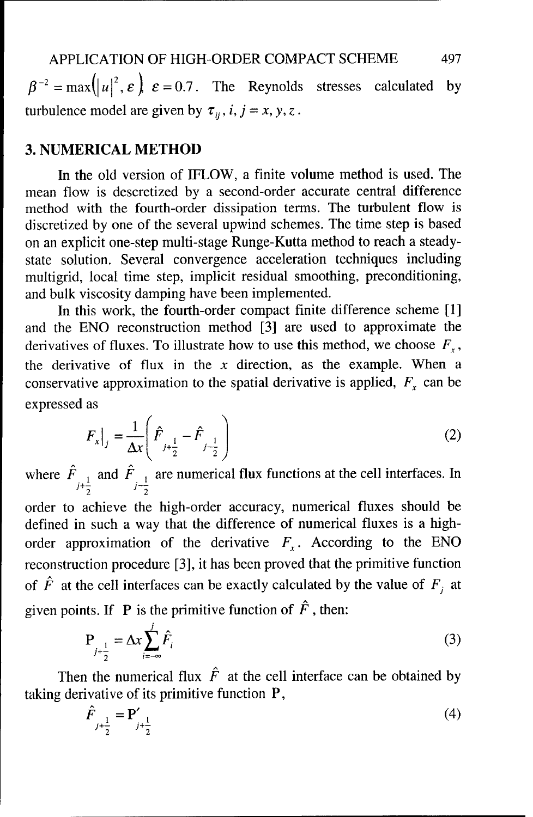$\beta^{-2} = \max(|u|^2, \varepsilon) \varepsilon = 0.7$ . The Reynolds stresses calculated by turbulence model are given by  $\tau_{ij}$ , *i*, *j* = *x*, *y*, *z*.

#### **3. NUMERICAL** METHOD

In the old version of IFLOW, a finite volume method is used. The mean flow is descretized by a second-order accurate central difference method with the fourth-order dissipation terms. The turbulent flow is discretized by one of the several upwind schemes. The time step is based on an explicit one-step multi-stage Runge-Kutta method to reach a steadystate solution. Several convergence acceleration techniques including multigrid, local time step, implicit residual smoothing, preconditioning, and bulk viscosity damping have been implemented.

In this work, the fourth-order compact finite difference scheme [1] and the ENO reconstruction method [3] are used to approximate the derivatives of fluxes. To illustrate how to use this method, we choose  $F<sub>x</sub>$ , the derivative of flux in the  $x$  direction, as the example. When a conservative approximation to the spatial derivative is applied,  $F<sub>x</sub>$  can be expressed as

$$
F_x\big|_{j} = \frac{1}{\Delta x} \left( \hat{F}_{j + \frac{1}{2}} - \hat{F}_{j - \frac{1}{2}} \right)
$$
 (2)

where  $\overline{F}_{+}$  and  $F_{+}$  are numerical flux functions at the cell interfaces. In 2 2

order to achieve the high-order accuracy, numerical fluxes should be defined in such a way that the difference of numerical fluxes is a highorder approximation of the derivative  $F_x$ . According to the ENO reconstruction procedure [3], it has been proved that the primitive function of  $\hat{F}$  at the cell interfaces can be exactly calculated by the value of  $F_i$  at given points. If P is the primitive function of  $\hat{F}$ , then:

$$
P_{j+\frac{1}{2}} = \Delta x \sum_{i=-\infty}^{j} \hat{F}_i
$$
 (3)

Then the numerical flux  $\hat{F}$  at the cell interface can be obtained by taking derivative of its primitive function P,

$$
\hat{F}_{j+\frac{1}{2}} = \mathbf{P}'_{j+\frac{1}{2}} \tag{4}
$$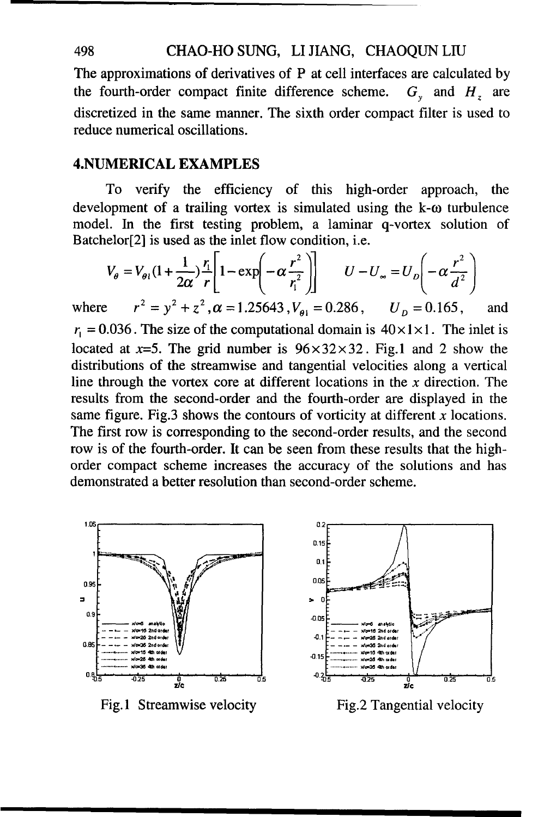#### 498 CHAO-HO SUNG, LI JIANG, CHAOQUN LIU

The approximations of derivatives of P at cell interfaces are calculated by the fourth-order compact finite difference scheme.  $G<sub>v</sub>$  and  $H<sub>z</sub>$  are discretized in the same manner. The sixth order compact filter is used to reduce numerical oscillations.

#### **4.NUMERICAL EXAMPLES**

To verify the efficiency of this high-order approach, the development of a trailing vortex is simulated using the  $k-\omega$  turbulence model. In the first testing problem, a laminar q-vortex solution of Batchelor[2] is used as the inlet flow condition, i.e.

$$
V_{\theta} = V_{\theta l} (1 + \frac{1}{2\alpha}) \frac{r_l}{r} \left[ 1 - \exp\left(-\alpha \frac{r^2}{r_l^2}\right) \right] \qquad U - U_{\infty} = U_D \left(-\alpha \frac{r^2}{d^2}\right)
$$

where  $r^2 = y^2 + z^2$ ,  $\alpha = 1.25643$ ,  $V_{\alpha 1} = 0.286$ ,  $U_p = 0.165$ , and  $r_1 = 0.036$ . The size of the computational domain is  $40 \times 1 \times 1$ . The inlet is located at  $x=5$ . The grid number is  $96\times32\times32$ . Fig.1 and 2 show the distributions of the streamwise and tangential velocities along a vertical line through the vortex core at different locations in the  $x$  direction. The results from the second-order and the fourth-order are displayed in the same figure. Fig.3 shows the contours of vorticity at different  $x$  locations. The first row is corresponding to the second-order results, and the second row is of the fourth-order. It can be seen from these results that the highorder compact scheme increases the accuracy of the solutions and has demonstrated a better resolution than second-order scheme.



Fig. 1 Streamwise velocity Fig. 2 Tangential velocity

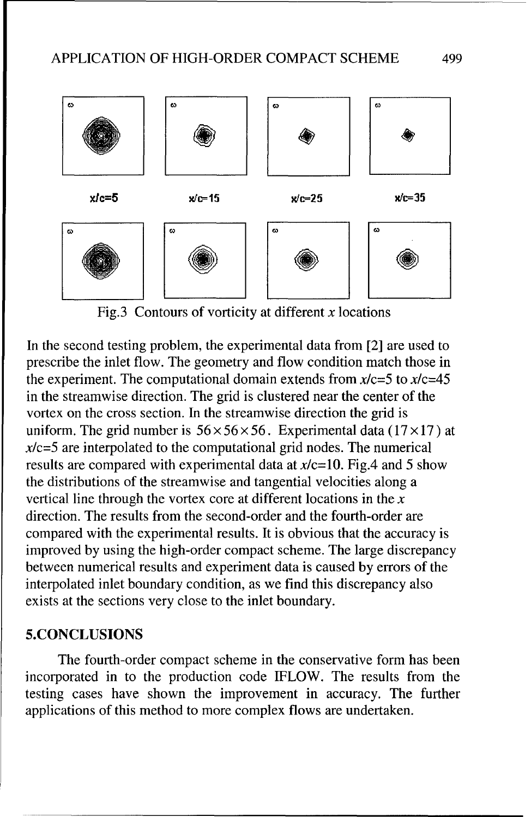

Fig.3 Contours of vorticity at different  $x$  locations

In the second testing problem, the experimental data from [2] are used to prescribe the inlet flow. The geometry and flow condition match those in the experiment. The computational domain extends from  $x/c=5$  to  $x/c=45$ in the streamwise direction. The grid is clustered near the center of the vortex on the cross section. In the streamwise direction the grid is uniform. The grid number is  $56 \times 56 \times 56$ . Experimental data (17×17) at  $x/c=5$  are interpolated to the computational grid nodes. The numerical results are compared with experimental data at  $x/c=10$ . Fig.4 and 5 show the distributions of the streamwise and tangential velocities along a vertical line through the vortex core at different locations in the  $x$ direction. The results from the second-order and the fourth-order are compared with the experimental results. It is obvious that the accuracy is improved by using the high-order compact scheme. The large discrepancy between numerical results and experiment data is caused by errors of the interpolated inlet boundary condition, as we find this discrepancy also exists at the sections very close to the inlet boundary.

## 5.CONCLUSIONS

The fourth-order compact scheme in the conservative form has been incorporated in to the production code IFLOW. The results from the testing cases have shown the improvement in accuracy. The further applications of this method to more complex flows are undertaken.